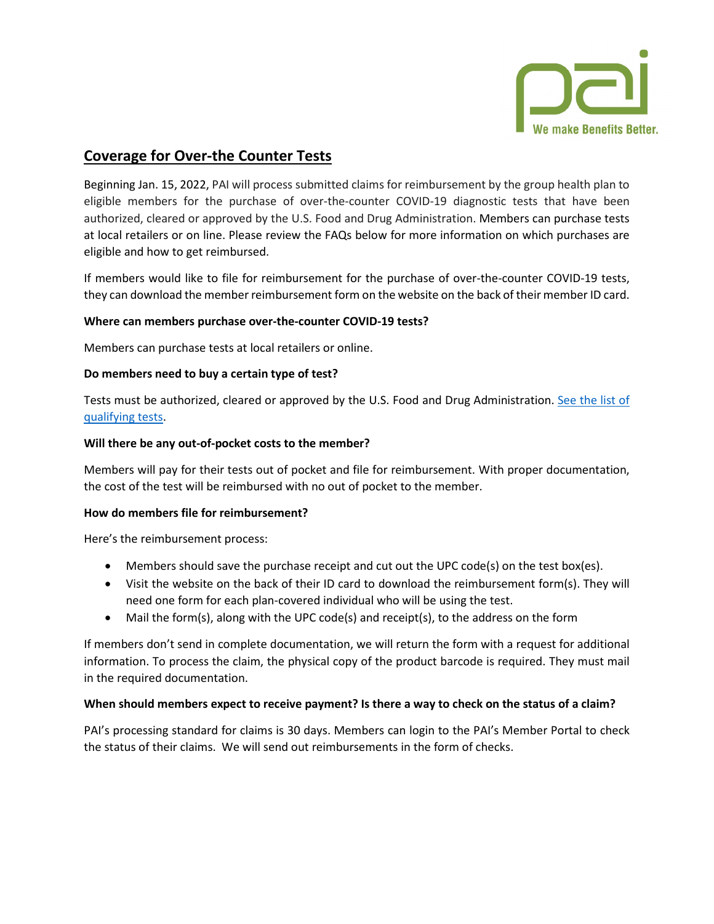

# **Coverage for Over-the Counter Tests**

Beginning Jan. 15, 2022, PAI will process submitted claims for reimbursement by the group health plan to eligible members for the purchase of over-the-counter COVID-19 diagnostic tests that have been authorized, cleared or approved by the U.S. Food and Drug Administration. Members can purchase tests at local retailers or on line. Please review the FAQs below for more information on which purchases are eligible and how to get reimbursed.

If members would like to file for reimbursement for the purchase of over-the-counter COVID-19 tests, they can download the member reimbursement form on the website on the back of their member ID card.

# **Where can members purchase over-the-counter COVID-19 tests?**

Members can purchase tests at local retailers or online.

### **Do members need to buy a certain type of test?**

Tests must be authorized, cleared or approved by the U.S. Food and Drug Administration. [See the list of](https://www.fda.gov/medical-devices/coronavirus-disease-2019-covid-19-emergency-use-authorizations-medical-devices/in-vitro-diagnostics-euas-antigen-diagnostic-tests-sars-cov-2)  [qualifying tests.](https://www.fda.gov/medical-devices/coronavirus-disease-2019-covid-19-emergency-use-authorizations-medical-devices/in-vitro-diagnostics-euas-antigen-diagnostic-tests-sars-cov-2)

### **Will there be any out-of-pocket costs to the member?**

Members will pay for their tests out of pocket and file for reimbursement. With proper documentation, the cost of the test will be reimbursed with no out of pocket to the member.

### **How do members file for reimbursement?**

Here's the reimbursement process:

- Members should save the purchase receipt and cut out the UPC code(s) on the test box(es).
- Visit the website on the back of their ID card to download the reimbursement form(s). They will need one form for each plan-covered individual who will be using the test.
- Mail the form(s), along with the UPC code(s) and receipt(s), to the address on the form

If members don't send in complete documentation, we will return the form with a request for additional information. To process the claim, the physical copy of the product barcode is required. They must mail in the required documentation.

# **When should members expect to receive payment? Is there a way to check on the status of a claim?**

PAI's processing standard for claims is 30 days. Members can login to the PAI's Member Portal to check the status of their claims. We will send out reimbursements in the form of checks.